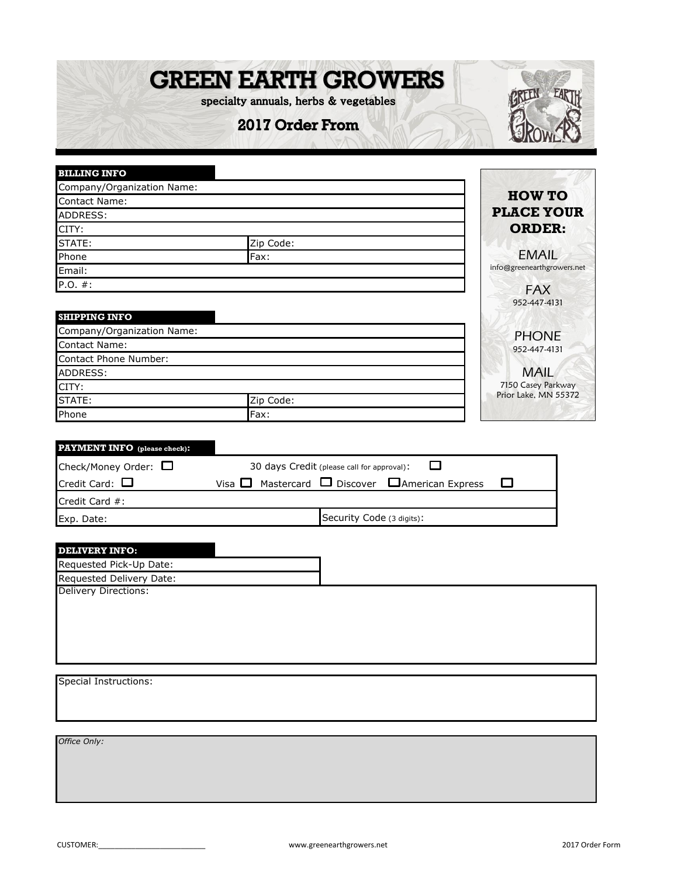## **GREEN EARTH GROWERS**

specialty annuals, herbs & vegetables

2017 Order From



| <b>BILLING INFO</b>          |                                            |                            |
|------------------------------|--------------------------------------------|----------------------------|
| Company/Organization Name:   |                                            |                            |
| Contact Name:                |                                            | <b>HOW TO</b>              |
| ADDRESS:                     |                                            | <b>PLACE YOUR</b>          |
| CITY:                        |                                            | <b>ORDER:</b>              |
| STATE:                       | Zip Code:                                  |                            |
| Phone                        | Fax:                                       | <b>EMAIL</b>               |
| Email:                       |                                            | info@greenearthgrowers.net |
| P.O. #:                      |                                            | <b>FAX</b>                 |
|                              |                                            | 952-447-4131               |
| <b>SHIPPING INFO</b>         |                                            |                            |
| Company/Organization Name:   |                                            | <b>PHONE</b>               |
| Contact Name:                |                                            | 952-447-4131               |
| <b>Contact Phone Number:</b> |                                            |                            |
| ADDRESS:                     |                                            | <b>MAIL</b>                |
| CITY:                        |                                            | 7150 Casey Parkway         |
| STATE:                       | Zip Code:                                  | Prior Lake, MN 55372       |
| Phone                        | Fax:                                       |                            |
|                              |                                            |                            |
| PAYMENT INFO (please check): |                                            |                            |
| Check/Money Order:           | 30 days Credit (please call for approval): |                            |

| Check/Money Order: $\square$ | 30 days Credit (please call for approval): |                           |                                                                |  |  |  |  |  |  |
|------------------------------|--------------------------------------------|---------------------------|----------------------------------------------------------------|--|--|--|--|--|--|
| Credit Card: $\Box$          |                                            |                           | Visa $\Box$ Mastercard $\Box$ Discover $\Box$ American Express |  |  |  |  |  |  |
| Credit Card #:               |                                            |                           |                                                                |  |  |  |  |  |  |
| Exp. Date:                   |                                            | Security Code (3 digits): |                                                                |  |  |  |  |  |  |
|                              |                                            |                           |                                                                |  |  |  |  |  |  |

| <b>DELIVERY INFO:</b>    |  |
|--------------------------|--|
| Requested Pick-Up Date:  |  |
| Requested Delivery Date: |  |
| Delivery Directions:     |  |
| Special Instructions:    |  |
| Office Only:             |  |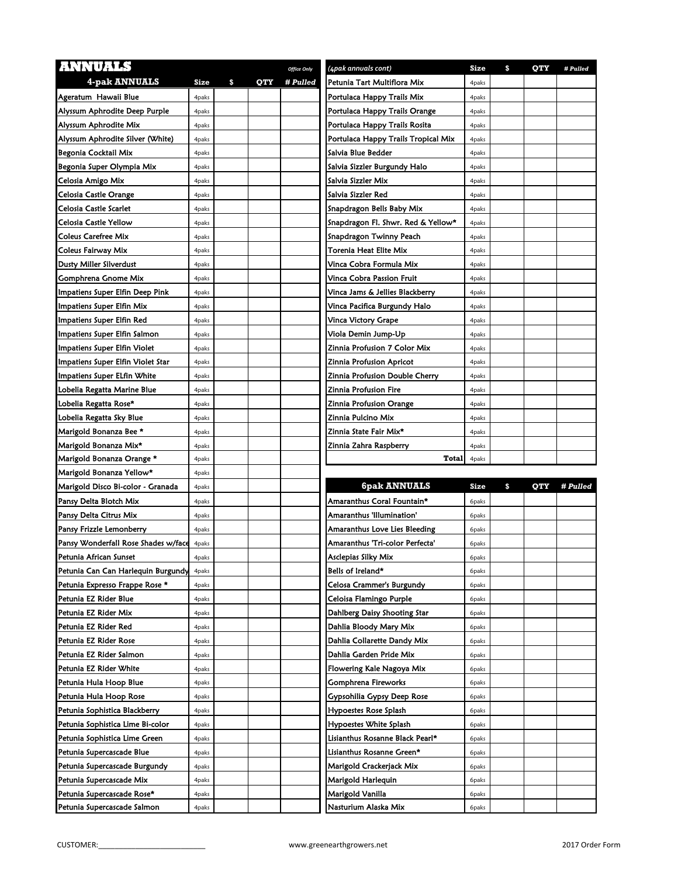| <b>ANNUALS</b>                      |       |           | <b>Office Only</b> | (4pak annuals cont)                 | Size        | \$<br>QTY | # Pulled |
|-------------------------------------|-------|-----------|--------------------|-------------------------------------|-------------|-----------|----------|
| <b>4-pak ANNUALS</b>                | Size  | \$<br>QTY | # Pulled           | Petunia Tart Multiflora Mix         | 4paks       |           |          |
| Ageratum Hawaii Blue                | 4paks |           |                    | Portulaca Happy Trails Mix          | 4paks       |           |          |
| Alyssum Aphrodite Deep Purple       | 4paks |           |                    | Portulaca Happy Trails Orange       | 4paks       |           |          |
| Alyssum Aphrodite Mix               | 4paks |           |                    | Portulaca Happy Trails Rosita       | 4paks       |           |          |
| Alyssum Aphrodite Silver (White)    | 4paks |           |                    | Portulaca Happy Trails Tropical Mix | 4paks       |           |          |
| Begonia Cocktail Mix                | 4paks |           |                    | Salvia Blue Bedder                  | 4paks       |           |          |
| Begonia Super Olympia Mix           | 4paks |           |                    | Salvia Sizzler Burgundy Halo        | 4paks       |           |          |
| Celosia Amigo Mix                   | 4paks |           |                    | Salvia Sizzler Mix                  | 4paks       |           |          |
| Celosia Castle Orange               | 4paks |           |                    | Salvia Sizzler Red                  | 4paks       |           |          |
| Celosia Castle Scarlet              | 4paks |           |                    | Snapdragon Bells Baby Mix           | 4paks       |           |          |
| Celosia Castle Yellow               | 4paks |           |                    | Snapdragon Fl. Shwr. Red & Yellow*  | 4paks       |           |          |
| Coleus Carefree Mix                 | 4paks |           |                    | Snapdragon Twinny Peach             | 4paks       |           |          |
| Coleus Fairway Mix                  | 4paks |           |                    | Torenia Heat Elite Mix              | 4paks       |           |          |
| Dusty Miller Silverdust             | 4paks |           |                    | Vinca Cobra Formula Mix             | 4paks       |           |          |
| Gomphrena Gnome Mix                 | 4paks |           |                    | Vinca Cobra Passion Fruit           | 4paks       |           |          |
| Impatiens Super Elfin Deep Pink     | 4paks |           |                    | Vinca Jams & Jellies Blackberry     | 4paks       |           |          |
| Impatiens Super Elfin Mix           | 4paks |           |                    | Vinca Pacifica Burgundy Halo        | 4paks       |           |          |
| Impatiens Super Elfin Red           | 4paks |           |                    | Vinca Victory Grape                 | 4paks       |           |          |
| Impatiens Super Elfin Salmon        | 4paks |           |                    | Viola Demin Jump-Up                 | 4paks       |           |          |
| Impatiens Super Elfin Violet        | 4paks |           |                    | Zinnia Profusion 7 Color Mix        | 4paks       |           |          |
| Impatiens Super Elfin Violet Star   | 4paks |           |                    | Zinnia Profusion Apricot            | 4paks       |           |          |
| Impatiens Super ELfin White         | 4paks |           |                    | Zinnia Profusion Double Cherry      | 4paks       |           |          |
| Lobelia Regatta Marine Blue         | 4paks |           |                    | Zinnia Profusion Fire               | 4paks       |           |          |
| Lobelia Regatta Rose*               | 4paks |           |                    | Zinnia Profusion Orange             | 4paks       |           |          |
| Lobelia Regatta Sky Blue            | 4paks |           |                    | Zinnia Pulcino Mix                  | 4paks       |           |          |
| Marigold Bonanza Bee *              | 4paks |           |                    | Zinnia State Fair Mix*              | 4paks       |           |          |
|                                     |       |           |                    |                                     |             |           |          |
| Marigold Bonanza Mix*               | 4paks |           |                    | Zinnia Zahra Raspberry              | 4paks       |           |          |
| Marigold Bonanza Orange *           | 4paks |           |                    | <b>Total</b>                        | 4paks       |           |          |
| Marigold Bonanza Yellow*            | 4paks |           |                    |                                     |             |           |          |
| Marigold Disco Bi-color - Granada   | 4paks |           |                    | <b>6pak ANNUALS</b>                 | <b>Size</b> | \$<br>QTY | # Pulled |
| Pansy Delta Blotch Mix              | 4paks |           |                    | Amaranthus Coral Fountain*          | 6paks       |           |          |
| Pansy Delta Citrus Mix              | 4paks |           |                    | Amaranthus 'Illumination'           | 6paks       |           |          |
| Pansy Frizzle Lemonberry            | 4paks |           |                    | Amaranthus Love Lies Bleeding       | 6paks       |           |          |
| Pansy Wonderfall Rose Shades w/face | 4paks |           |                    | Amaranthus 'Tri-color Perfecta'     | 6paks       |           |          |
| Petunia African Sunset              | 4paks |           |                    | Asclepias Silky Mix                 | 6 paks      |           |          |
| Petunia Can Can Harlequin Burgundy  | 4paks |           |                    | Bells of Ireland*                   | 6paks       |           |          |
| Petunia Expresso Frappe Rose *      | 4paks |           |                    | Celosa Crammer's Burgundy           | 6paks       |           |          |
| Petunia EZ Rider Blue               | 4paks |           |                    | Celoisa Flamingo Purple             | 6paks       |           |          |
| Petunia EZ Rider Mix                | 4paks |           |                    | Dahlberg Daisy Shooting Star        | 6paks       |           |          |
| Petunia EZ Rider Red                | 4paks |           |                    | Dahlia Bloody Mary Mix              | 6paks       |           |          |
| Petunia EZ Rider Rose               | 4paks |           |                    | Dahlia Collarette Dandy Mix         | 6paks       |           |          |
| Petunia EZ Rider Salmon             | 4paks |           |                    | Dahlia Garden Pride Mix             | 6paks       |           |          |
| Petunia EZ Rider White              | 4paks |           |                    | Flowering Kale Nagoya Mix           | 6paks       |           |          |
| Petunia Hula Hoop Blue              | 4paks |           |                    | Gomphrena Fireworks                 | 6paks       |           |          |
| Petunia Hula Hoop Rose              | 4paks |           |                    | Gypsohilia Gypsy Deep Rose          | 6paks       |           |          |
| Petunia Sophistica Blackberry       | 4paks |           |                    | Hypoestes Rose Splash               | 6paks       |           |          |
| Petunia Sophistica Lime Bi-color    | 4paks |           |                    | Hypoestes White Splash              | 6paks       |           |          |
| Petunia Sophistica Lime Green       | 4paks |           |                    | Lisianthus Rosanne Black Pearl*     | 6paks       |           |          |
| Petunia Supercascade Blue           | 4paks |           |                    | Lisianthus Rosanne Green*           | 6paks       |           |          |
| Petunia Supercascade Burgundy       | 4paks |           |                    | Marigold Crackerjack Mix            | 6paks       |           |          |
| Petunia Supercascade Mix            | 4paks |           |                    | Marigold Harlequin                  | 6paks       |           |          |
| Petunia Supercascade Rose*          | 4paks |           |                    | Marigold Vanilla                    | 6paks       |           |          |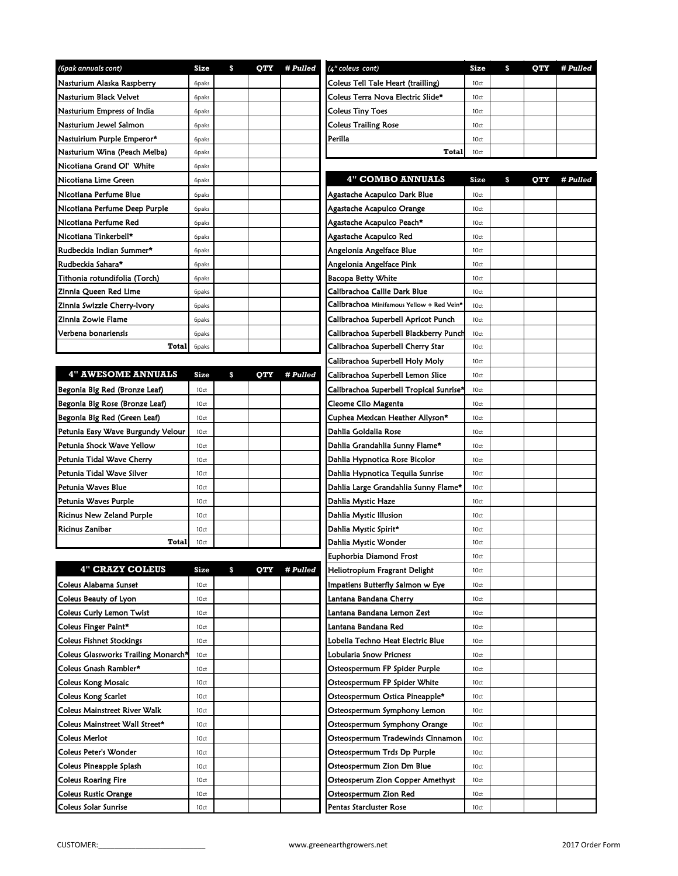| (6pak annuals cont)                 | Size         | \$<br>QTY        | # Pulled | (4" coleus cont)                          | Size | \$<br>QTY | # Pulled |
|-------------------------------------|--------------|------------------|----------|-------------------------------------------|------|-----------|----------|
| Nasturium Alaska Raspberry          | 6paks        |                  |          | Coleus Tell Tale Heart (trailling)        | 10ct |           |          |
| Nasturium Black Velvet              | 6paks        |                  |          | Coleus Terra Nova Electric Slide*         | 10ct |           |          |
| Nasturium Empress of India          | 6paks        |                  |          | <b>Coleus Tiny Toes</b>                   | 10ct |           |          |
| Nasturium Jewel Salmon              | 6paks        |                  |          | <b>Coleus Trailing Rose</b>               | 10ct |           |          |
| Nastuirium Purple Emperor*          | 6paks        |                  |          | Perilla                                   | 10ct |           |          |
| Nasturium Wina (Peach Melba)        | 6paks        |                  |          | Total                                     | 10ct |           |          |
| Nicotiana Grand Ol' White           | 6paks        |                  |          |                                           |      |           |          |
| Nicotiana Lime Green                | 6paks        |                  |          | <b>4" COMBO ANNUALS</b>                   | Size | \$<br>OTY | # Pulled |
| Nicotiana Perfume Blue              | 6paks        |                  |          | Agastache Acapulco Dark Blue              | 10ct |           |          |
| Nicotiana Perfume Deep Purple       | 6paks        |                  |          | Agastache Acapulco Orange                 | 10ct |           |          |
| Nicotiana Perfume Red               | 6paks        |                  |          | Agastache Acapulco Peach*                 | 10ct |           |          |
| Nicotiana Tinkerbell*               | 6paks        |                  |          | Agastache Acapulco Red                    | 10ct |           |          |
| Rudbeckia Indian Summer*            | 6paks        |                  |          | Angelonia Angelface Blue                  | 10ct |           |          |
| Rudbeckia Sahara*                   | 6paks        |                  |          | Angelonia Angelface Pink                  | 10ct |           |          |
| Tithonia rotundifolia (Torch)       | 6paks        |                  |          | <b>Bacopa Betty White</b>                 | 10ct |           |          |
| Zinnia Queen Red Lime               | 6paks        |                  |          | Calibrachoa Callie Dark Blue              | 10ct |           |          |
| Zinnia Swizzle Cherry-Ivory         | 6paks        |                  |          | Calibrachoa Minifamous Yellow + Red Vein* | 10ct |           |          |
| Zinnia Zowie Flame                  | 6paks        |                  |          | Calibrachoa Superbell Apricot Punch       | 10ct |           |          |
| Verbena bonariensis                 | 6paks        |                  |          | Calibrachoa Superbell Blackberry Punch    | 10ct |           |          |
| Total                               | 6paks        |                  |          | Calibrachoa Superbell Cherry Star         | 10ct |           |          |
|                                     |              |                  |          | Calibrachoa Superbell Holy Moly           | 10ct |           |          |
| <b>4" AWESOME ANNUALS</b>           | Size         | \$<br><b>OTY</b> | # Pulled | Calibrachoa Superbell Lemon Slice         | 10ct |           |          |
| Begonia Big Red (Bronze Leaf)       |              |                  |          | Calibrachoa Superbell Tropical Sunrise*   | 10ct |           |          |
| Begonia Big Rose (Bronze Leaf)      | 10ct<br>10ct |                  |          | Cleome Cilo Magenta                       | 10ct |           |          |
| Begonia Big Red (Green Leaf)        | 10ct         |                  |          | Cuphea Mexican Heather Allyson*           | 10ct |           |          |
| Petunia Easy Wave Burgundy Velour   | 10ct         |                  |          | Dahlia Goldalia Rose                      | 10ct |           |          |
| Petunia Shock Wave Yellow           | 10ct         |                  |          | Dahlia Grandahlia Sunny Flame*            | 10ct |           |          |
| Petunia Tidal Wave Cherry           | 10ct         |                  |          | Dahlia Hypnotica Rose Bicolor             | 10ct |           |          |
| Petunia Tidal Wave Silver           | 10ct         |                  |          | Dahlia Hypnotica Tequila Sunrise          | 10ct |           |          |
| Petunia Waves Blue                  | 10ct         |                  |          | Dahlia Large Grandahlia Sunny Flame*      | 10ct |           |          |
| Petunia Waves Purple                | 10ct         |                  |          | Dahlia Mystic Haze                        | 10ct |           |          |
| Ricinus New Zeland Purple           | 10ct         |                  |          | Dahlia Mystic Illusion                    | 10ct |           |          |
| <b>Ricinus Zanibar</b>              | 10ct         |                  |          | Dahlia Mystic Spirit*                     | 10ct |           |          |
| Total                               | 10ct         |                  |          | Dahlia Mystic Wonder                      | 10ct |           |          |
|                                     |              |                  |          | Euphorbia Diamond Frost                   | 10ct |           |          |
| <b>4" CRAZY COLEUS</b>              | Size         | \$<br>QTY        | # Pulled | Heliotropium Fragrant Delight             | 10ct |           |          |
| Coleus Alabama Sunset               | 10ct         |                  |          | Impatiens Butterfly Salmon w Eye          | 10ct |           |          |
| Coleus Beauty of Lyon               | 10ct         |                  |          | Lantana Bandana Cherry                    | 10ct |           |          |
| Coleus Curly Lemon Twist            | 10ct         |                  |          | Lantana Bandana Lemon Zest                | 10ct |           |          |
| Coleus Finger Paint*                | 10ct         |                  |          | Lantana Bandana Red                       | 10ct |           |          |
| <b>Coleus Fishnet Stockings</b>     | 10ct         |                  |          | Lobelia Techno Heat Electric Blue         | 10ct |           |          |
| Coleus Glassworks Trailing Monarch* | 10ct         |                  |          | Lobularia Snow Pricness                   | 10ct |           |          |
| Coleus Gnash Rambler*               | 10ct         |                  |          | Osteospermum FP Spider Purple             | 10ct |           |          |
| <b>Coleus Kong Mosaic</b>           | 10ct         |                  |          | Osteospermum FP Spider White              | 10ct |           |          |
| <b>Coleus Kong Scarlet</b>          | 10ct         |                  |          | Osteospermum Ostica Pineapple*            | 10ct |           |          |
| Coleus Mainstreet River Walk        | 10ct         |                  |          | Osteospermum Symphony Lemon               | 10ct |           |          |
| Coleus Mainstreet Wall Street*      | 10ct         |                  |          | Osteospermum Symphony Orange              | 10ct |           |          |
| Coleus Merlot                       | 10ct         |                  |          | Osteospermum Tradewinds Cinnamon          | 10ct |           |          |
| Coleus Peter's Wonder               | 10ct         |                  |          | Osteospermum Trds Dp Purple               | 10ct |           |          |
| Coleus Pineapple Splash             | 10ct         |                  |          | Osteospermum Zion Dm Blue                 | 10ct |           |          |
| Coleus Roaring Fire                 | 10ct         |                  |          | Osteosperum Zion Copper Amethyst          | 10ct |           |          |
| <b>Coleus Rustic Orange</b>         | 10ct         |                  |          | Osteospermum Zion Red                     | 10ct |           |          |
| Coleus Solar Sunrise                | 10ct         |                  |          | Pentas Starcluster Rose                   | 10ct |           |          |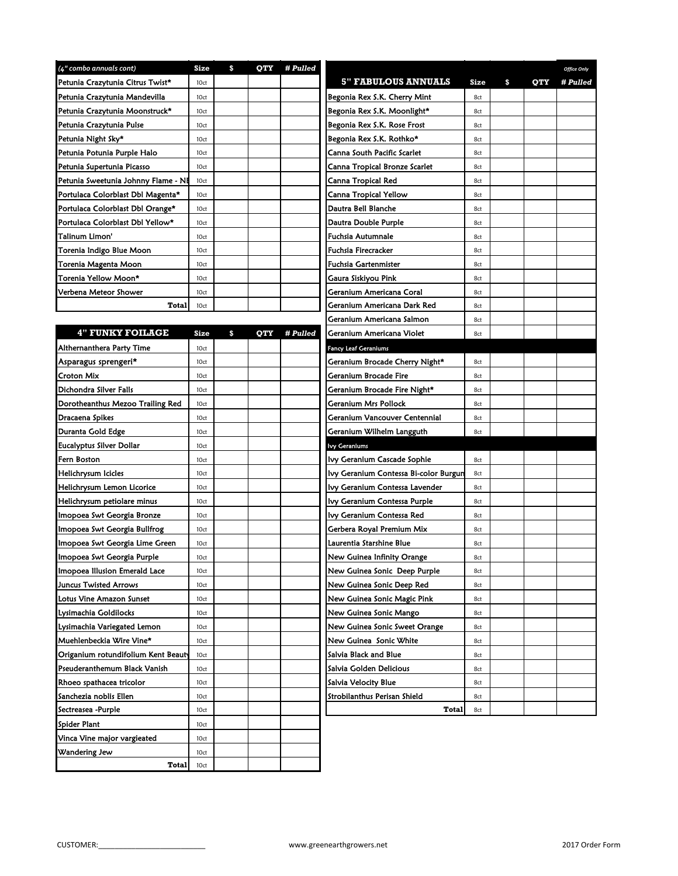| (4" combo annuals cont)             | Size | \$<br>QTY | # Pulled |                                       |      |                  | <b>Office Only</b> |
|-------------------------------------|------|-----------|----------|---------------------------------------|------|------------------|--------------------|
| Petunia Crazytunia Citrus Twist*    | 10ct |           |          | <b>5" FABULOUS ANNUALS</b>            | Size | \$<br><b>OTY</b> | # Pulled           |
| Petunia Crazytunia Mandevilla       | 10ct |           |          | Begonia Rex S.K. Cherry Mint          | 8ct  |                  |                    |
| Petunia Crazytunia Moonstruck*      | 10ct |           |          | Begonia Rex S.K. Moonlight*           | 8ct  |                  |                    |
| Petunia Crazytunia Pulse            | 10ct |           |          | Begonia Rex S.K. Rose Frost           | 8ct  |                  |                    |
| Petunia Night Sky*                  | 10ct |           |          | Begonia Rex S.K. Rothko*              | 8ct  |                  |                    |
| Petunia Potunia Purple Halo         | 10ct |           |          | Canna South Pacific Scarlet           | 8ct  |                  |                    |
| Petunia Supertunia Picasso          | 10ct |           |          | Canna Tropical Bronze Scarlet         | 8ct  |                  |                    |
| Petunia Sweetunia Johnny Flame - NH | 10ct |           |          | Canna Tropical Red                    | 8ct  |                  |                    |
| Portulaca Colorblast Dbl Magenta*   | 10ct |           |          | Canna Tropical Yellow                 | 8ct  |                  |                    |
| Portulaca Colorblast Dbl Orange*    | 10ct |           |          | Dautra Bell Blanche                   | 8ct  |                  |                    |
| Portulaca Colorblast Dbl Yellow*    | 10ct |           |          | Dautra Double Purple                  | 8ct  |                  |                    |
| Talinum Limon'                      | 10ct |           |          | Fuchsia Autumnale                     | 8ct  |                  |                    |
| Torenia Indigo Blue Moon            | 10ct |           |          | Fuchsia Firecracker                   | 8ct  |                  |                    |
| Torenia Magenta Moon                | 10ct |           |          | Fuchsia Gartenmister                  | 8ct  |                  |                    |
| Torenia Yellow Moon*                | 10ct |           |          | Gaura Siskiyou Pink                   | 8ct  |                  |                    |
| Verbena Meteor Shower               | 10ct |           |          | Geranium Americana Coral              | 8ct  |                  |                    |
| Total                               | 10ct |           |          | Geranium Americana Dark Red           | 8ct  |                  |                    |
|                                     |      |           |          | Geranium Americana Salmon             | 8ct  |                  |                    |
| <b>4" FUNKY FOILAGE</b>             | Size | \$<br>OTY | # Pulled | Geranium Americana Violet             | 8ct  |                  |                    |
|                                     |      |           |          |                                       |      |                  |                    |
| Althernanthera Party Time           | 10ct |           |          | <b>Fancy Leaf Geraniums</b>           |      |                  |                    |
| Asparagus sprengeri*                | 10ct |           |          | Geranium Brocade Cherry Night*        | 8ct  |                  |                    |
| Croton Mix                          | 10ct |           |          | Geranium Brocade Fire                 | 8ct  |                  |                    |
| Dichondra Silver Falls              | 10ct |           |          | Geranium Brocade Fire Night*          | 8ct  |                  |                    |
| Dorotheanthus Mezoo Trailing Red    | 10ct |           |          | Geranium Mrs Pollock                  | 8ct  |                  |                    |
| Dracaena Spikes                     | 10ct |           |          | Geranium Vancouver Centennial         | 8ct  |                  |                    |
| Duranta Gold Edge                   | 10ct |           |          | Geranium Wilhelm Langguth             | 8ct  |                  |                    |
| Eucalyptus Silver Dollar            | 10ct |           |          | <b>Ivy Geraniums</b>                  |      |                  |                    |
| Fern Boston                         | 10ct |           |          | Ivy Geranium Cascade Sophie           | 8ct  |                  |                    |
| Helichrysum Icicles                 | 10ct |           |          | lvy Geranium Contessa Bi-color Burgun | 8ct  |                  |                    |
| Helichrysum Lemon Licorice          | 10ct |           |          | Ivy Geranium Contessa Lavender        | 8ct  |                  |                    |
| Helichrysum petiolare minus         | 10ct |           |          | Ivy Geranium Contessa Purple          | 8ct  |                  |                    |
| Imopoea Swt Georgia Bronze          | 10ct |           |          | lvy Geranium Contessa Red             | 8ct  |                  |                    |
| Imopoea Swt Georgia Bullfrog        | 10ct |           |          | Gerbera Royal Premium Mix             | 8ct  |                  |                    |
| Imopoea Swt Georgia Lime Green      | 10ct |           |          | Laurentia Starshine Blue              | 8ct  |                  |                    |
| Imopoea Swt Georgia Purple          | 10ct |           |          | New Guinea Infinity Orange            | 8ct  |                  |                    |
| Imopoea Illusion Emerald Lace       | 10ct |           |          | New Guinea Sonic Deep Purple          | 8ct  |                  |                    |
| Juncus Twisted Arrows               | 10ct |           |          | New Guinea Sonic Deep Red             | 8ct  |                  |                    |
| Lotus Vine Amazon Sunset            | 10ct |           |          | New Guinea Sonic Magic Pink           | 8ct  |                  |                    |
| Lysimachia Goldilocks               | 10ct |           |          | New Guinea Sonic Mango                | 8ct  |                  |                    |
| Lysimachia Variegated Lemon         | 10ct |           |          | New Guinea Sonic Sweet Orange         | 8ct  |                  |                    |
| Muehlenbeckia Wire Vine*            | 10ct |           |          | New Guinea Sonic White                | 8ct  |                  |                    |
| Origanium rotundifolium Kent Beauty | 10ct |           |          | Salvia Black and Blue                 | 8ct  |                  |                    |
| Pseuderanthemum Black Vanish        | 10ct |           |          | Salvia Golden Delicious               | 8ct  |                  |                    |
| Rhoeo spathacea tricolor            | 10ct |           |          | Salvia Velocity Blue                  | 8ct  |                  |                    |
| Sanchezia noblis Ellen              | 10ct |           |          | Strobilanthus Perisan Shield          | 8ct  |                  |                    |
| Sectreasea -Purple                  | 10ct |           |          | Total                                 | 8ct  |                  |                    |
| Spider Plant                        | 10ct |           |          |                                       |      |                  |                    |
| Vinca Vine major vargieated         | 10ct |           |          |                                       |      |                  |                    |
| Wandering Jew                       | 10ct |           |          |                                       |      |                  |                    |
| Total                               | 10ct |           |          |                                       |      |                  |                    |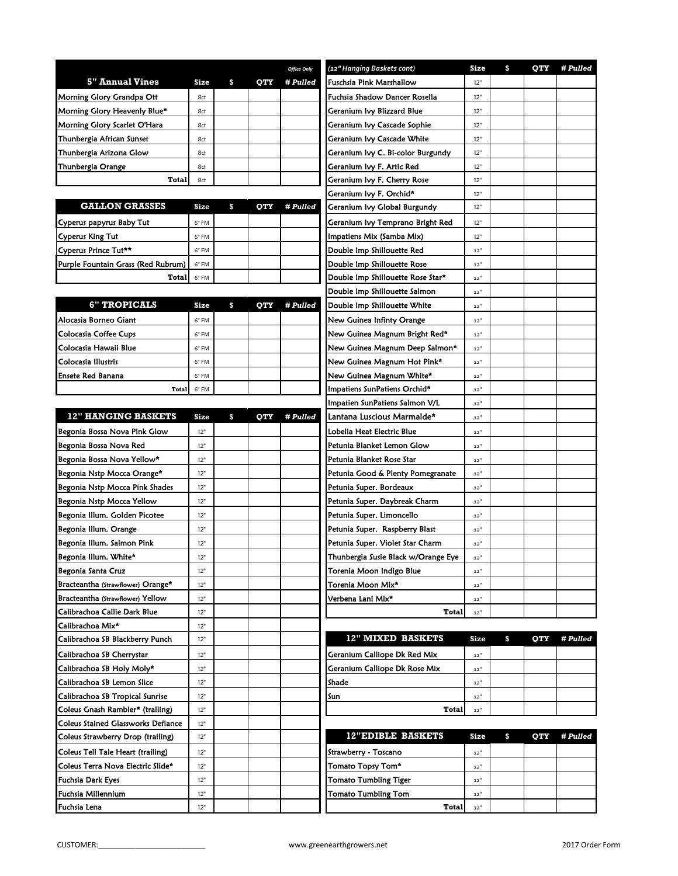|                                           |             |                  | <b>Office Only</b> | (12" Hanging Baskets cont)          | Size                     | \$<br><b>OTY</b> | # Pulled |
|-------------------------------------------|-------------|------------------|--------------------|-------------------------------------|--------------------------|------------------|----------|
| <b>5" Annual Vines</b>                    | <b>Size</b> | \$<br>QTY        | # Pulled           | Fuschsia Pink Marshallow            | 12"                      |                  |          |
| Morning Glory Grandpa Ott                 | 8ct         |                  |                    | Fuchsia Shadow Dancer Rosella       | 12"                      |                  |          |
| Morning Glory Heavenly Blue*              | 8ct         |                  |                    | Geranium Ivy Blizzard Blue          | 12"                      |                  |          |
| Morning Glory Scarlet O'Hara              | 8ct         |                  |                    | Geranium Ivy Cascade Sophie         | 12"                      |                  |          |
| Thunbergia African Sunset                 | 8ct         |                  |                    | Geranium Ivy Cascade White          | 12"                      |                  |          |
| Thunbergia Arizona Glow                   | 8ct         |                  |                    | Geranium Ivy C. Bi-color Burgundy   | 12"                      |                  |          |
| Thunbergia Orange                         | 8ct         |                  |                    | Geranium Ivy F. Artic Red           | 12"                      |                  |          |
| Total                                     | 8ct         |                  |                    | Geranium Ivy F. Cherry Rose         | 12"                      |                  |          |
|                                           |             |                  |                    | Geranium Ivy F. Orchid*             | 12"                      |                  |          |
| <b>GALLON GRASSES</b>                     | Size        | \$<br><b>OTY</b> | # Pulled           | Geranium Ivy Global Burgundy        | 12"                      |                  |          |
| Cyperus papyrus Baby Tut                  | 6" FM       |                  |                    | Geranium Ivy Temprano Bright Red    | 12"                      |                  |          |
| Cyperus King Tut                          | 6" FM       |                  |                    | Impatiens Mix (Samba Mix)           | 12"                      |                  |          |
| Cyperus Prince Tut**                      | 6" FM       |                  |                    | Double Imp Shillouette Red          | 12"                      |                  |          |
| Purple Fountain Grass (Red Rubrum)        | 6" FM       |                  |                    | Double Imp Shillouette Rose         | 12"                      |                  |          |
| Total                                     | 6" FM       |                  |                    | Double Imp Shillouette Rose Star*   | 12"                      |                  |          |
|                                           |             |                  |                    | Double Imp Shillouette Salmon       | 12"                      |                  |          |
| <b>6" TROPICALS</b>                       | Size        | \$<br>QTY        | # Pulled           | Double Imp Shillouette White        | 12"                      |                  |          |
| Alocasia Borneo Giant                     | 6" FM       |                  |                    | New Guinea Infinty Orange           | 12"                      |                  |          |
| Colocasia Coffee Cups                     | 6" FM       |                  |                    | New Guinea Magnum Bright Red*       | $12"$                    |                  |          |
| Colocasia Hawaii Blue                     | 6" FM       |                  |                    | New Guinea Magnum Deep Salmon*      | 12"                      |                  |          |
| Colocasia Illustris                       | 6" FM       |                  |                    | New Guinea Magnum Hot Pink*         | 12"                      |                  |          |
| Ensete Red Banana                         | 6" FM       |                  |                    | New Guinea Magnum White*            | 12"                      |                  |          |
| Total                                     | 6" FM       |                  |                    | Impatiens SunPatiens Orchid*        | 12"                      |                  |          |
|                                           |             |                  |                    | Impatien SunPatiens Salmon V/L      | 12"                      |                  |          |
| <b>12" HANGING BASKETS</b>                | Size        | \$<br><b>OTY</b> | # Pulled           | Lantana Luscious Marmalde*          | 12"                      |                  |          |
| Begonia Bossa Nova Pink Glow              | 12"         |                  |                    | Lobelia Heat Electric Blue          | 12"                      |                  |          |
| Begonia Bossa Nova Red                    | 12"         |                  |                    | Petunia Blanket Lemon Glow          | 12"                      |                  |          |
| Begonia Bossa Nova Yellow*                | 12"         |                  |                    | Petunia Blanket Rose Star           | $12"$                    |                  |          |
| Begonia Nstp Mocca Orange*                | 12"         |                  |                    | Petunia Good & Plenty Pomegranate   | $12"$                    |                  |          |
| Begonia Nstp Mocca Pink Shades            | 12"         |                  |                    | Petunia Super. Bordeaux             | 12"                      |                  |          |
| Begonia Nstp Mocca Yellow                 | 12"         |                  |                    | Petunia Super. Daybreak Charm       | $12"$                    |                  |          |
| Begonia Illum. Golden Picotee             | 12"         |                  |                    | Petunia Super. Limoncello           | 12"                      |                  |          |
| Begonia Illum. Orange                     | 12"         |                  |                    | Petunia Super. Raspberry Blast      | 12"                      |                  |          |
| Begonia Illum. Salmon Pink                | 12"         |                  |                    | Petunia Super. Violet Star Charm    | $12"$                    |                  |          |
| Begonia Illum. White*                     | 12"         |                  |                    | Thunbergia Susie Black w/Orange Eye | $\bf{12}''$              |                  |          |
| Begonia Santa Cruz                        | 12"         |                  |                    | Torenia Moon Indigo Blue            | $12"$                    |                  |          |
| Bracteantha (Strawflower) Orange*         | 12"         |                  |                    | Torenia Moon Mix*                   | 12"                      |                  |          |
| Bracteantha (Strawflower) Yellow          | 12"         |                  |                    | Verbena Lani Mix*                   | $12"$                    |                  |          |
| Calibrachoa Callie Dark Blue              | 12"         |                  |                    | Total                               | 12"                      |                  |          |
| Calibrachoa Mix*                          | 12"         |                  |                    |                                     |                          |                  |          |
| Calibrachoa SB Blackberry Punch           | 12"         |                  |                    | 12" MIXED BASKETS                   | Size                     | \$<br>QTY        | # Pulled |
| Calibrachoa SB Cherrystar                 | 12"         |                  |                    | Geranium Calliope Dk Red Mix        | 12"                      |                  |          |
| Calibrachoa SB Holy Moly*                 | 12"         |                  |                    | Geranium Calliope Dk Rose Mix       | 12"                      |                  |          |
| Calibrachoa SB Lemon Slice                | 12"         |                  |                    | Shade                               | $12"$                    |                  |          |
| Calibrachoa SB Tropical Sunrise           | 12"         |                  |                    | Sun                                 | $\bf{12}^{\prime\prime}$ |                  |          |
| Coleus Gnash Rambler* (trailing)          | 12"         |                  |                    | Total                               | 12"                      |                  |          |
| <b>Coleus Stained Glassworks Defiance</b> | 12"         |                  |                    |                                     |                          |                  |          |
| Coleus Strawberry Drop (trailing)         | 12"         |                  |                    | <b>12"EDIBLE BASKETS</b>            | Size                     | \$<br>QTY        | # Pulled |
| Coleus Tell Tale Heart (trailing)         | 12"         |                  |                    | Strawberry - Toscano                | $12"$                    |                  |          |
| Coleus Terra Nova Electric Slide*         | 12"         |                  |                    | Tomato Topsy Tom*                   | $12"$                    |                  |          |
| Fuchsia Dark Eyes                         | 12"         |                  |                    | Tomato Tumbling Tiger               | $12"$                    |                  |          |
| Fuchsia Millennium                        | 12"         |                  |                    | Tomato Tumbling Tom                 | $12"$                    |                  |          |
| Fuchsia Lena                              | 12"         |                  |                    | Total                               | 12"                      |                  |          |
|                                           |             |                  |                    |                                     |                          |                  |          |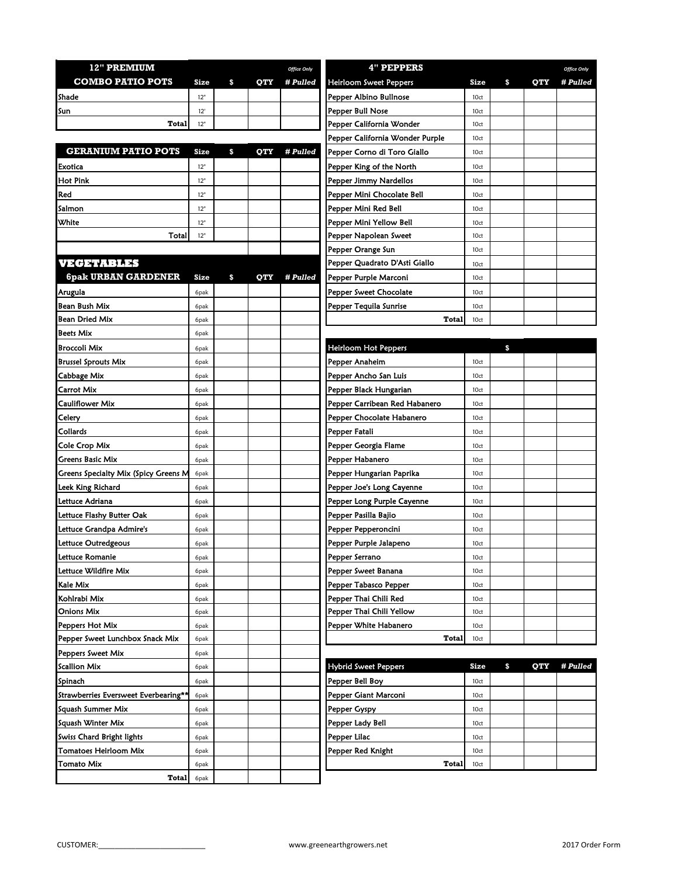| <b>12" PREMIUM</b>      |      |  |     | <b>Office Only</b> | 4" PEPPERS                    |      |  |  |
|-------------------------|------|--|-----|--------------------|-------------------------------|------|--|--|
| <b>COMBO PATIO POTS</b> | Size |  | OTY | <i># Pulled</i>    | <b>Heirloom Sweet Peppers</b> | Size |  |  |
| <b>Shade</b>            | 12"  |  |     |                    | Pepper Albino Bullnose        | 10ct |  |  |
| Isun                    | 12'  |  |     |                    | <b>Pepper Bull Nose</b>       | 10ct |  |  |
| Total                   | 12"  |  |     |                    | Pepper California Wonder      | 10ct |  |  |

|                            |      |          |            |          | . .                         |                  |
|----------------------------|------|----------|------------|----------|-----------------------------|------------------|
| <b>GERANIUM PATIO POTS</b> | Size | <b>S</b> | <b>OTY</b> | # Pulled | Pepper Corno di Toro Giallo | 10 <sub>ct</sub> |
| <b>Exotica</b>             | 12"  |          |            |          | Pepper King of the North    | 10 <sub>ct</sub> |
| <b>I</b> Hot Pink          | 12"  |          |            |          | Pepper Jimmy Nardellos      | 10 <sub>ct</sub> |
| Red                        | 12"  |          |            |          | Pepper Mini Chocolate Bell  | 10 <sub>ct</sub> |
| Salmon                     | 12"  |          |            |          | Pepper Mini Red Bell        | 10 <sub>ct</sub> |
| <b>White</b>               | 12"  |          |            |          | Pepper Mini Yellow Bell     | 10 <sub>ct</sub> |
| Total                      | 12"  |          |            |          | Pepper Napolean Sweet       | 10ct             |

| VECENIBLES |                                  |  |  |
|------------|----------------------------------|--|--|
|            | $c_{\rm max}$ l hddan $c$ addeni |  |  |

| <b>6pak URBAN GARDENER</b>           | <b>Size</b> | \$<br><b>OTY</b> | # Pulled | Pepper Purple Marconi         | 10ct        |           |          |
|--------------------------------------|-------------|------------------|----------|-------------------------------|-------------|-----------|----------|
| Arugula                              | 6pak        |                  |          | Pepper Sweet Chocolate        | 10ct        |           |          |
| Bean Bush Mix                        | 6pak        |                  |          | Pepper Tequila Sunrise        | 10ct        |           |          |
| <b>Bean Dried Mix</b>                | 6pak        |                  |          | Total                         | 10ct        |           |          |
| <b>Beets Mix</b>                     | 6pak        |                  |          |                               |             |           |          |
| <b>Broccoli Mix</b>                  | 6pak        |                  |          | Heirloom Hot Peppers          |             | \$        |          |
| <b>Brussel Sprouts Mix</b>           | 6pak        |                  |          | Pepper Anaheim                | 10ct        |           |          |
| Cabbage Mix                          | 6pak        |                  |          | Pepper Ancho San Luis         | 10ct        |           |          |
| Carrot Mix                           | 6pak        |                  |          | Pepper Black Hungarian        | 10ct        |           |          |
| Cauliflower Mix                      | 6pak        |                  |          | Pepper Carribean Red Habanero | 10ct        |           |          |
| Celery                               | 6pak        |                  |          | Pepper Chocolate Habanero     | 10ct        |           |          |
| Collards                             | 6pak        |                  |          | Pepper Fatali                 | 10ct        |           |          |
| Cole Crop Mix                        | 6pak        |                  |          | Pepper Georgia Flame          | 10ct        |           |          |
| Greens Basic Mix                     | 6pak        |                  |          | Pepper Habanero               | 10ct        |           |          |
| Greens Specialty Mix (Spicy Greens M | 6pak        |                  |          | Pepper Hungarian Paprika      | 10ct        |           |          |
| Leek King Richard                    | 6pak        |                  |          | Pepper Joe's Long Cayenne     | 10ct        |           |          |
| Lettuce Adriana                      | 6pak        |                  |          | Pepper Long Purple Cayenne    | 10ct        |           |          |
| Lettuce Flashy Butter Oak            | 6pak        |                  |          | Pepper Pasilla Bajio          | 10ct        |           |          |
| Lettuce Grandpa Admire's             | 6pak        |                  |          | Pepper Pepperoncini           | 10ct        |           |          |
| Lettuce Outredgeous                  | 6pak        |                  |          | Pepper Purple Jalapeno        | 10ct        |           |          |
| Lettuce Romanie                      | 6pak        |                  |          | Pepper Serrano                | 10ct        |           |          |
| Lettuce Wildfire Mix                 | 6pak        |                  |          | Pepper Sweet Banana           | 10ct        |           |          |
| Kale Mix                             | 6pak        |                  |          | Pepper Tabasco Pepper         | 10ct        |           |          |
| Kohlrabi Mix                         | 6pak        |                  |          | Pepper Thai Chili Red         | 10ct        |           |          |
| Onions Mix                           | 6pak        |                  |          | Pepper Thai Chili Yellow      | 10ct        |           |          |
| Peppers Hot Mix                      | 6pak        |                  |          | Pepper White Habanero         | 10ct        |           |          |
| Pepper Sweet Lunchbox Snack Mix      | 6pak        |                  |          | Total                         | 10ct        |           |          |
| Peppers Sweet Mix                    | 6pak        |                  |          |                               |             |           |          |
| <b>Scallion Mix</b>                  | 6pak        |                  |          | <b>Hybrid Sweet Peppers</b>   | <b>Size</b> | \$<br>QTY | # Pulled |
| Spinach                              | 6pak        |                  |          | Pepper Bell Boy               | 10ct        |           |          |
| Strawberries Eversweet Everbearing** | 6pak        |                  |          | Pepper Giant Marconi          | 10ct        |           |          |
| Squash Summer Mix                    | 6pak        |                  |          | Pepper Gyspy                  | 10ct        |           |          |
| Squash Winter Mix                    | 6pak        |                  |          | Pepper Lady Bell              | 10ct        |           |          |
| Swiss Chard Bright lights            | 6pak        |                  |          | Pepper Lilac                  | 10ct        |           |          |
| Tomatoes Heirloom Mix                | 6pak        |                  |          | Pepper Red Knight             | 10ct        |           |          |
| Tomato Mix                           | 6pak        |                  |          | Total                         | 10ct        |           |          |
| <b>Total</b>                         | 6pak        |                  |          |                               |             |           |          |

| <b>12" PREMIUM</b>         |                   |    |            | <b>Office Only</b> | <b>4" PEPPERS</b>               |             |                  | <b>Office Only</b> |
|----------------------------|-------------------|----|------------|--------------------|---------------------------------|-------------|------------------|--------------------|
| <b>COMBO PATIO POTS</b>    | <b>Size</b>       | S. | <b>OTY</b> | # Pulled           | Heirloom Sweet Peppers          | <b>Size</b> | \$<br><b>OTY</b> | # Pulled           |
| Shade                      | 12"               |    |            |                    | Pepper Albino Bullnose          | 10ct        |                  |                    |
| Sun                        | 12'               |    |            |                    | Pepper Bull Nose                | 10ct        |                  |                    |
| <b>Total</b>               | 12"               |    |            |                    | Pepper California Wonder        | 10ct        |                  |                    |
|                            |                   |    |            |                    | Pepper California Wonder Purple | 10ct        |                  |                    |
| <b>GERANIUM PATIO POTS</b> | <b>Size</b>       | \$ | QTY        | # Pulled           | Pepper Corno di Toro Giallo     | 10ct        |                  |                    |
| Exotica                    | 12"               |    |            |                    | Pepper King of the North        | 10ct        |                  |                    |
| Hot Pink                   | 12"               |    |            |                    | Pepper Jimmy Nardellos          | 10ct        |                  |                    |
| Red                        | 12"               |    |            |                    | Pepper Mini Chocolate Bell      | 10ct        |                  |                    |
| Salmon                     | 12"               |    |            |                    | Pepper Mini Red Bell            | 10ct        |                  |                    |
| White                      | 12"               |    |            |                    | Pepper Mini Yellow Bell         | 10ct        |                  |                    |
| Total                      | 12"               |    |            |                    | Pepper Napolean Sweet           | 10ct        |                  |                    |
|                            |                   |    |            |                    | Pepper Orange Sun               | 10ct        |                  |                    |
| VEGETABLES                 |                   |    |            |                    | Pepper Quadrato D'Asti Giallo   | 10ct        |                  |                    |
| <b>6pak URBAN GARDENER</b> | Size              | \$ | QTY        | # Pulled           | Pepper Purple Marconi           | 10ct        |                  |                    |
| Arugula                    | 6pak              |    |            |                    | Pepper Sweet Chocolate          | 10ct        |                  |                    |
| Bean Bush Mix              | 6pak              |    |            |                    | Pepper Tequila Sunrise          | 10ct        |                  |                    |
| Bean Dried Mix             | 6 <sub>p</sub> ak |    |            |                    | Total                           | 10ct        |                  |                    |

| <b>Heirloom Hot Peppers</b>   |      | S |  |
|-------------------------------|------|---|--|
| Pepper Anaheim                | 10ct |   |  |
| Pepper Ancho San Luis         | 10ct |   |  |
| Pepper Black Hungarian        | 10ct |   |  |
| Pepper Carribean Red Habanero | 10ct |   |  |
| Pepper Chocolate Habanero     | 10ct |   |  |
| Pepper Fatali                 | 10ct |   |  |
| Pepper Georgia Flame          | 10ct |   |  |
| Pepper Habanero               | 10ct |   |  |
| Pepper Hungarian Paprika      | 10ct |   |  |
| Pepper Joe's Long Cayenne     | 10ct |   |  |
| Pepper Long Purple Cayenne    | 10ct |   |  |
| Pepper Pasilla Bajio          | 10ct |   |  |
| Pepper Pepperoncini           | 10ct |   |  |
| Pepper Purple Jalapeno        | 10ct |   |  |
| Pepper Serrano                | 10ct |   |  |
| Pepper Sweet Banana           | 10ct |   |  |
| Pepper Tabasco Pepper         | 10ct |   |  |
| Pepper Thai Chili Red         | 10ct |   |  |
| Pepper Thai Chili Yellow      | 10ct |   |  |
| Pepper White Habanero         | 10ct |   |  |
| <b>Total</b>                  | 10ct |   |  |
|                               |      |   |  |

| <b>Hybrid Sweet Peppers</b> | Size | \$ | OTY # Pulled |
|-----------------------------|------|----|--------------|
| Pepper Bell Boy             | 10ct |    |              |
| Pepper Giant Marconi        | 10ct |    |              |
| Pepper Gyspy                | 10ct |    |              |
| Pepper Lady Bell            | 10ct |    |              |
| Pepper Lilac                | 10ct |    |              |
| Pepper Red Knight           | 10ct |    |              |
| Total                       | 10ct |    |              |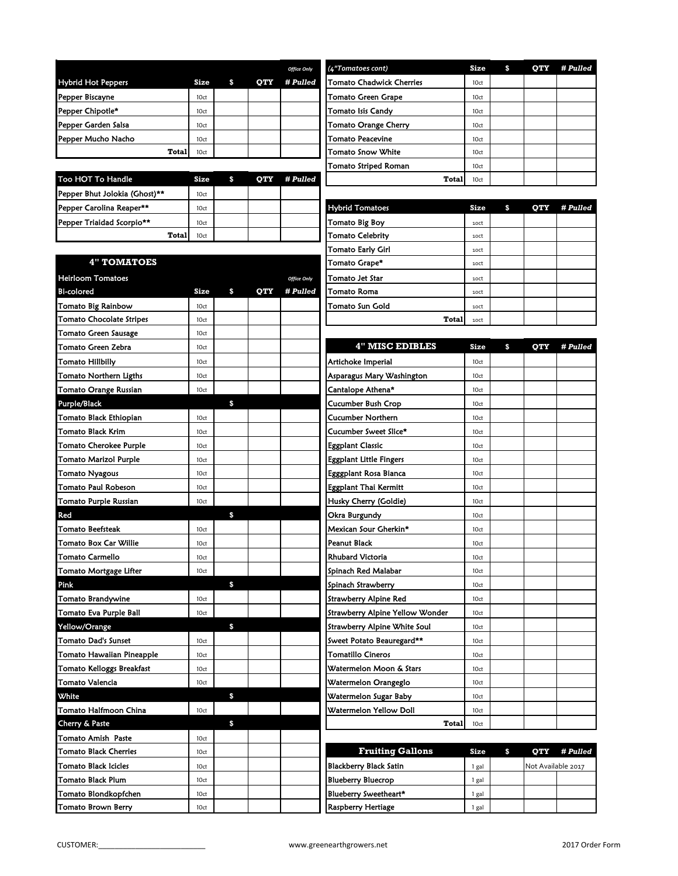|                               |      |    |     | <b>Office Only</b> | (4"Tomatoes cont)           | Size | S | <b>OTY</b> | # Pulled |
|-------------------------------|------|----|-----|--------------------|-----------------------------|------|---|------------|----------|
| <b>Hybrid Hot Peppers</b>     | Size | \$ | QTY | # Pulled           | Tomato Chadwick Cherries    | 10ct |   |            |          |
| Pepper Biscayne               | 10ct |    |     |                    | Tomato Green Grape          | 10ct |   |            |          |
| Pepper Chipotle*              | 10ct |    |     |                    | <b>Tomato Isis Candy</b>    | 10ct |   |            |          |
| Pepper Garden Salsa           | 10ct |    |     |                    | <b>Tomato Orange Cherry</b> | 10ct |   |            |          |
| Pepper Mucho Nacho            | 10ct |    |     |                    | Tomato Peacevine            | 10ct |   |            |          |
| Total                         | 10ct |    |     |                    | Tomato Snow White           | 10ct |   |            |          |
|                               |      |    |     |                    | Tomato Striped Roman        | 10ct |   |            |          |
| Too HOT To Handle             | Size | S. | QTY | # Pulled           | Total                       | 10ct |   |            |          |
| Pepper Bhut Jolokia (Ghost)** | 10ct |    |     |                    |                             |      |   |            |          |
| Pepper Carolina Reaper**      | 10ct |    |     |                    | <b>Hybrid Tomatoes</b>      | Size | S | QTY        | # Pulled |
| Pepper Triaidad Scorpio**     | 10ct |    |     |                    | Tomato Big Boy              | 10Ct |   |            |          |
| Total                         | 10ct |    |     |                    | Tomato Celebrity            | 10Ct |   |            |          |
|                               |      |    |     |                    |                             |      |   |            |          |

| Office Only | (4"Tomatoes cont)               | <b>Size</b> | \$<br>OTY | # Pulled |
|-------------|---------------------------------|-------------|-----------|----------|
| † Pulled    | <b>Tomato Chadwick Cherries</b> | 10ct        |           |          |
|             | <b>Tomato Green Grape</b>       | 10ct        |           |          |
|             | <b>Tomato Isis Candy</b>        | 10ct        |           |          |
|             | <b>Tomato Orange Cherry</b>     | 10ct        |           |          |
|             | <b>Tomato Peacevine</b>         | 10ct        |           |          |
|             | <b>Tomato Snow White</b>        | 10ct        |           |          |
|             | Tomato Striped Roman            | 10ct        |           |          |
| † Pulled    | Total                           | 10ct        |           |          |

| Pepper Carolina Reaper**        | 10ct |   |            |                    | <b>Hybrid Tomatoes</b>   | <b>Size</b> | \$<br><b>OTY</b> | # Pulled |
|---------------------------------|------|---|------------|--------------------|--------------------------|-------------|------------------|----------|
| Pepper Triaidad Scorpio**       | 10ct |   |            |                    | Tomato Big Boy           | 10ct        |                  |          |
| <b>Total</b>                    | 10ct |   |            |                    | <b>Tomato Celebrity</b>  | 10ct        |                  |          |
|                                 |      |   |            |                    | <b>Tomato Early Girl</b> | 10Ct        |                  |          |
| <b>4" TOMATOES</b>              |      |   |            |                    | Tomato Grape*            | 10ct        |                  |          |
| <b>Heirloom Tomatoes</b>        |      |   |            | <b>Office Only</b> | Tomato Jet Star          | 10Ct        |                  |          |
| Bi-colored                      | Size | S | <b>OTY</b> | # Pulled           | Tomato Roma              | 10ct        |                  |          |
| Tomato Big Rainbow              | 10ct |   |            |                    | <b>Tomato Sun Gold</b>   | 10ct        |                  |          |
| <b>Tomato Chocolate Stripes</b> | 10ct |   |            |                    | <b>Total</b>             | 10Ct        |                  |          |

| Tomato Green Zebra            | 10ct             |              |  | <b>4" MISC EDIBLES</b>              | Size            | \$<br>QTY          | # Pulled |
|-------------------------------|------------------|--------------|--|-------------------------------------|-----------------|--------------------|----------|
| Tomato Hillbilly              | 10ct             |              |  | Artichoke Imperial                  | 10ct            |                    |          |
| Tomato Northern Ligths        | 10ct             |              |  | Asparagus Mary Washington           | 10ct            |                    |          |
| Tomato Orange Russian         | 10ct             |              |  | Cantalope Athena*                   | 10ct            |                    |          |
| Purple/Black                  |                  | $\mathbf{s}$ |  | <b>Cucumber Bush Crop</b>           | 10ct            |                    |          |
| Tomato Black Ethiopian        | 10ct             |              |  | <b>Cucumber Northern</b>            | 10ct            |                    |          |
| Tomato Black Krim             | 10ct             |              |  | Cucumber Sweet Slice*               | 10ct            |                    |          |
| <b>Tomato Cherokee Purple</b> | 10ct             |              |  | <b>Eggplant Classic</b>             | 10ct            |                    |          |
| <b>Tomato Marizol Purple</b>  | 10ct             |              |  | <b>Eggplant Little Fingers</b>      | 10ct            |                    |          |
| <b>Tomato Nyagous</b>         | 10ct             |              |  | Egggplant Rosa Bianca               | 10ct            |                    |          |
| Tomato Paul Robeson           | 10ct             |              |  | <b>Eggplant Thai Kermitt</b>        | 10ct            |                    |          |
| Tomato Purple Russian         | 10ct             |              |  | Husky Cherry (Goldie)               | 10ct            |                    |          |
| Red                           |                  | $\mathbf{s}$ |  | Okra Burgundy                       | 10ct            |                    |          |
| <b>Tomato Beefsteak</b>       | 10ct             |              |  | Mexican Sour Gherkin*               | 10ct            |                    |          |
| <b>Tomato Box Car Willie</b>  | 10ct             |              |  | <b>Peanut Black</b>                 | 10ct            |                    |          |
| <b>Tomato Carmello</b>        | 10ct             |              |  | <b>Rhubard Victoria</b>             | 10ct            |                    |          |
| Tomato Mortgage Lifter        | 10ct             |              |  | Spinach Red Malabar                 | 10ct            |                    |          |
| Pink                          |                  | \$           |  | Spinach Strawberry                  | 10ct            |                    |          |
| Tomato Brandywine             | 10ct             |              |  | <b>Strawberry Alpine Red</b>        | 10ct            |                    |          |
| Tomato Eva Purple Ball        | 10ct             |              |  | Strawberry Alpine Yellow Wonder     | 10ct            |                    |          |
| Yellow/Orange                 |                  | \$           |  | <b>Strawberry Alpine White Soul</b> | 10ct            |                    |          |
| <b>Tomato Dad's Sunset</b>    | 10ct             |              |  | Sweet Potato Beauregard**           | 10ct            |                    |          |
| Tomato Hawaiian Pineapple     | 10ct             |              |  | <b>Tomatillo Cineros</b>            | 10ct            |                    |          |
| Tomato Kelloggs Breakfast     | 10ct             |              |  | Watermelon Moon & Stars             | 10ct            |                    |          |
| Tomato Valencia               | 10ct             |              |  | Watermelon Orangeglo                | 10ct            |                    |          |
| White                         |                  | \$           |  | Watermelon Sugar Baby               | 10ct            |                    |          |
| Tomato Halfmoon China         | 10ct             |              |  | Watermelon Yellow Doll              | 10ct            |                    |          |
| Cherry & Paste                |                  | $\mathbf{s}$ |  | Total                               | 10ct            |                    |          |
| <b>Tomato Amish Paste</b>     | 10ct             |              |  |                                     |                 |                    |          |
| <b>Tomato Black Cherries</b>  | 10ct             |              |  | <b>Fruiting Gallons</b>             | Size            | \$<br>OTY          | # Pulled |
| Tomato Black Icicles          | 10 <sub>ct</sub> |              |  | Blackberry Black Satin              | $1$ $\sigma$ al | Not Available 2017 |          |

| Hemoom Tomatoes                 |      |    |            | <b>Office Only</b> | i omato Jet Star                | 10CT        |                  |                    |
|---------------------------------|------|----|------------|--------------------|---------------------------------|-------------|------------------|--------------------|
| Bi-colored                      | Size | S. | <b>OTY</b> | # Pulled           | <b>Tomato Roma</b>              | 10ct        |                  |                    |
| <b>Tomato Big Rainbow</b>       | 10ct |    |            |                    | Tomato Sun Gold                 | 10ct        |                  |                    |
| <b>Tomato Chocolate Stripes</b> | 10ct |    |            |                    | <b>Total</b>                    | 10ct        |                  |                    |
| Tomato Green Sausage            | 10ct |    |            |                    |                                 |             |                  |                    |
| Tomato Green Zebra              | 10ct |    |            |                    | <b>4" MISC EDIBLES</b>          | Size        | \$<br>OTY        | # Pull             |
| <b>Tomato Hillbilly</b>         | 10ct |    |            |                    | Artichoke Imperial              | 10ct        |                  |                    |
| Tomato Northern Ligths          | 10ct |    |            |                    | Asparagus Mary Washington       | 10ct        |                  |                    |
| Tomato Orange Russian           | 10ct |    |            |                    | Cantalope Athena*               | 10ct        |                  |                    |
| Purple/Black                    |      | \$ |            |                    | Cucumber Bush Crop              | 10ct        |                  |                    |
| Tomato Black Ethiopian          | 10ct |    |            |                    | Cucumber Northern               | 10ct        |                  |                    |
| Tomato Black Krim               | 10ct |    |            |                    | Cucumber Sweet Slice*           | 10ct        |                  |                    |
| <b>Tomato Cherokee Purple</b>   | 10ct |    |            |                    | <b>Eggplant Classic</b>         | 10ct        |                  |                    |
| <b>Tomato Marizol Purple</b>    | 10ct |    |            |                    | Eggplant Little Fingers         | 10ct        |                  |                    |
| <b>Tomato Nyagous</b>           | 10ct |    |            |                    | Egggplant Rosa Bianca           | 10ct        |                  |                    |
| <b>Tomato Paul Robeson</b>      | 10ct |    |            |                    | <b>Eggplant Thai Kermitt</b>    | 10ct        |                  |                    |
| Tomato Purple Russian           | 10ct |    |            |                    | Husky Cherry (Goldie)           | 10ct        |                  |                    |
| Red                             |      | \$ |            |                    | Okra Burgundy                   | 10ct        |                  |                    |
| <b>Tomato Beefsteak</b>         | 10ct |    |            |                    | Mexican Sour Gherkin*           | 10ct        |                  |                    |
| Tomato Box Car Willie           | 10ct |    |            |                    | <b>Peanut Black</b>             | 10ct        |                  |                    |
| <b>Tomato Carmello</b>          | 10ct |    |            |                    | <b>Rhubard Victoria</b>         | 10ct        |                  |                    |
| Tomato Mortgage Lifter          | 10ct |    |            |                    | Spinach Red Malabar             | 10ct        |                  |                    |
| Pink                            |      | \$ |            |                    | Spinach Strawberry              | 10ct        |                  |                    |
| <b>Tomato Brandywine</b>        | 10ct |    |            |                    | Strawberry Alpine Red           | 10ct        |                  |                    |
| Tomato Eva Purple Ball          | 10ct |    |            |                    | Strawberry Alpine Yellow Wonder | 10ct        |                  |                    |
| Yellow/Orange                   |      | \$ |            |                    | Strawberry Alpine White Soul    | 10ct        |                  |                    |
| <b>Tomato Dad's Sunset</b>      | 10ct |    |            |                    | Sweet Potato Beauregard**       | 10ct        |                  |                    |
| Tomato Hawaiian Pineapple       | 10ct |    |            |                    | Tomatillo Cineros               | 10ct        |                  |                    |
| Tomato Kelloggs Breakfast       | 10ct |    |            |                    | Watermelon Moon & Stars         | 10ct        |                  |                    |
| <b>Tomato Valencia</b>          | 10ct |    |            |                    | Watermelon Orangeglo            | 10ct        |                  |                    |
| <b>White</b>                    |      | \$ |            |                    | Watermelon Sugar Baby           | 10ct        |                  |                    |
| <b>Tomato Halfmoon China</b>    | 10ct |    |            |                    | Watermelon Yellow Doll          | 10ct        |                  |                    |
| Cherry & Paste                  |      | \$ |            |                    | <b>Total</b>                    | 10ct        |                  |                    |
| Tomato Amish Paste              | 10ct |    |            |                    |                                 |             |                  |                    |
| <b>Tomato Black Cherries</b>    | 10ct |    |            |                    | <b>Fruiting Gallons</b>         | <b>Size</b> | \$<br><b>OTY</b> | # Pull             |
| <b>Tomato Black Icicles</b>     | 10ct |    |            |                    | <b>Blackberry Black Satin</b>   | 1 gal       |                  | Not Available 2017 |
| <b>Tomato Black Plum</b>        | 10ct |    |            |                    | <b>Blueberry Bluecrop</b>       | 1 gal       |                  |                    |
| Tomato Blondkopfchen            | 10ct |    |            |                    | Blueberry Sweetheart*           | 1 gal       |                  |                    |

Tomato Brown Berry 190 | 10ct | 10ct | 10ct | 1 | Raspberry Hertiage | 1 gal